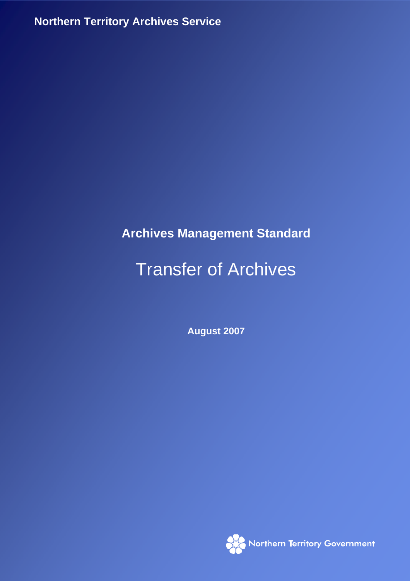**Northern Territory Archives Service**

## **Archives Management Standard**

# Transfer of Archives

**August 2007** 

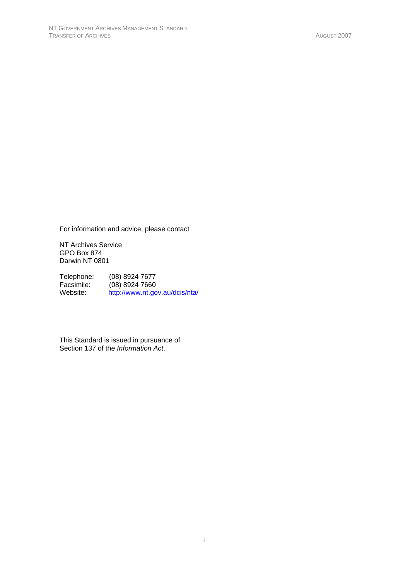For information and advice, please contact

NT Archives Service GPO Box 874 Darwin NT 0801

Telephone: (08) 8924 7677<br>Facsimile: (08) 8924 7660 Facsimile: (08) 8924 7660<br>Website: http://www.nt.go http://www.nt.gov.au/dcis/nta/

This Standard is issued in pursuance of Section 137 of the *Information Act*.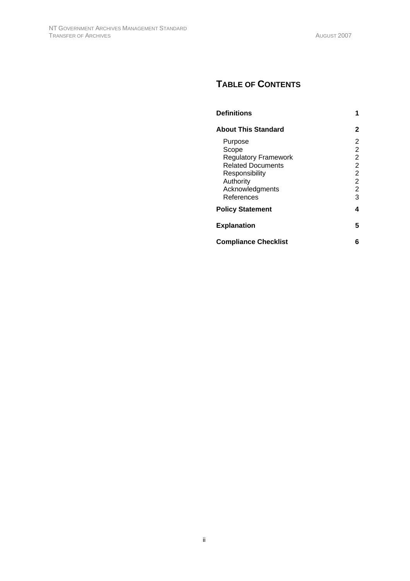## **TABLE OF CONTENTS**

| <b>Definitions</b>                                                                                                                          |                                                                                          |
|---------------------------------------------------------------------------------------------------------------------------------------------|------------------------------------------------------------------------------------------|
| <b>About This Standard</b>                                                                                                                  | 2                                                                                        |
| Purpose<br>Scope<br><b>Regulatory Framework</b><br><b>Related Documents</b><br>Responsibility<br>Authority<br>Acknowledgments<br>References | 2<br>2<br>$\overline{2}$<br>2<br>$\overline{2}$<br>$\overline{2}$<br>$\overline{2}$<br>3 |
| <b>Policy Statement</b>                                                                                                                     | 4                                                                                        |
| <b>Explanation</b>                                                                                                                          | 5                                                                                        |
| <b>Compliance Checklist</b>                                                                                                                 | 6                                                                                        |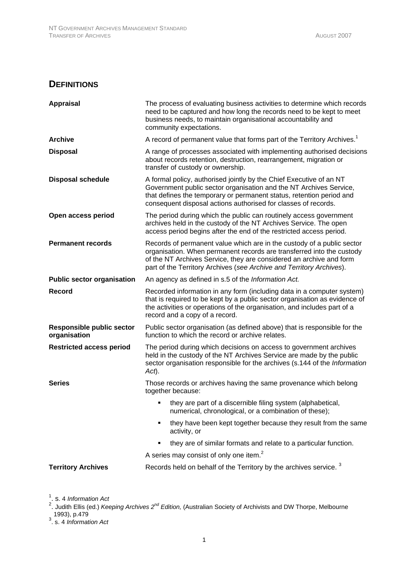### **DEFINITIONS**

| <b>Appraisal</b>                                 | The process of evaluating business activities to determine which records<br>need to be captured and how long the records need to be kept to meet<br>business needs, to maintain organisational accountability and<br>community expectations.                                                   |
|--------------------------------------------------|------------------------------------------------------------------------------------------------------------------------------------------------------------------------------------------------------------------------------------------------------------------------------------------------|
| <b>Archive</b>                                   | A record of permanent value that forms part of the Territory Archives. <sup>1</sup>                                                                                                                                                                                                            |
| <b>Disposal</b>                                  | A range of processes associated with implementing authorised decisions<br>about records retention, destruction, rearrangement, migration or<br>transfer of custody or ownership.                                                                                                               |
| <b>Disposal schedule</b>                         | A formal policy, authorised jointly by the Chief Executive of an NT<br>Government public sector organisation and the NT Archives Service,<br>that defines the temporary or permanent status, retention period and<br>consequent disposal actions authorised for classes of records.            |
| Open access period                               | The period during which the public can routinely access government<br>archives held in the custody of the NT Archives Service. The open<br>access period begins after the end of the restricted access period.                                                                                 |
| <b>Permanent records</b>                         | Records of permanent value which are in the custody of a public sector<br>organisation. When permanent records are transferred into the custody<br>of the NT Archives Service, they are considered an archive and form<br>part of the Territory Archives (see Archive and Territory Archives). |
| <b>Public sector organisation</b>                | An agency as defined in s.5 of the Information Act.                                                                                                                                                                                                                                            |
| Record                                           | Recorded information in any form (including data in a computer system)<br>that is required to be kept by a public sector organisation as evidence of<br>the activities or operations of the organisation, and includes part of a<br>record and a copy of a record.                             |
| <b>Responsible public sector</b><br>organisation | Public sector organisation (as defined above) that is responsible for the<br>function to which the record or archive relates.                                                                                                                                                                  |
| <b>Restricted access period</b>                  | The period during which decisions on access to government archives<br>held in the custody of the NT Archives Service are made by the public<br>sector organisation responsible for the archives (s.144 of the Information<br>$Act$ ).                                                          |
| <b>Series</b>                                    | Those records or archives having the same provenance which belong<br>together because:                                                                                                                                                                                                         |
|                                                  | they are part of a discernible filing system (alphabetical,<br>numerical, chronological, or a combination of these);                                                                                                                                                                           |
|                                                  | they have been kept together because they result from the same<br>activity, or                                                                                                                                                                                                                 |
|                                                  | they are of similar formats and relate to a particular function.                                                                                                                                                                                                                               |
|                                                  | A series may consist of only one item. <sup>2</sup>                                                                                                                                                                                                                                            |
| <b>Territory Archives</b>                        | Records held on behalf of the Territory by the archives service. <sup>3</sup>                                                                                                                                                                                                                  |

<sup>1</sup>. s. 4 *Information Act*<br><sup>2</sup>. Judith Ellis (ed.) *Keeping Archives 2<sup>nd</sup> Edition,* (Australian Society of Archivists and DW Thorpe, Melbourne 1993), p.479 3 . s. 4 *Information Act*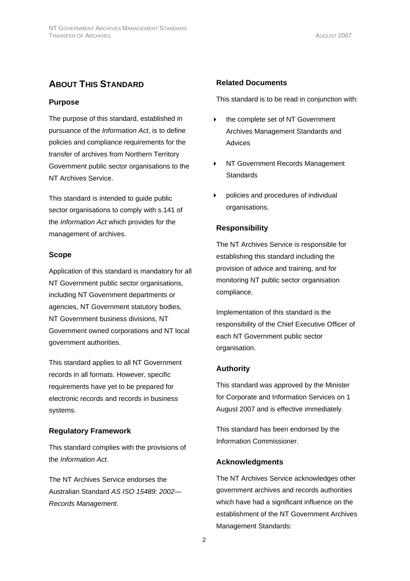## **ABOUT THIS STANDARD**

#### **Purpose**

The purpose of this standard, established in pursuance of the *Information Act*, is to define policies and compliance requirements for the transfer of archives from Northern Territory Government public sector organisations to the NT Archives Service.

This standard is intended to guide public sector organisations to comply with s.141 of the *Information Act* which provides for the management of archives.

#### **Scope**

Application of this standard is mandatory for all NT Government public sector organisations, including NT Government departments or agencies, NT Government statutory bodies, NT Government business divisions, NT Government owned corporations and NT local government authorities.

This standard applies to all NT Government records in all formats. However, specific requirements have yet to be prepared for electronic records and records in business systems.

#### **Regulatory Framework**

This standard complies with the provisions of the *Information Act*.

The NT Archives Service endorses the Australian Standard *AS ISO 15489: 2002— Records Management*.

#### **Related Documents**

This standard is to be read in conjunction with:

- ▶ the complete set of NT Government Archives Management Standards and Advices
- ▶ NT Government Records Management **Standards**
- policies and procedures of individual organisations.

#### **Responsibility**

The NT Archives Service is responsible for establishing this standard including the provision of advice and training, and for monitoring NT public sector organisation compliance.

Implementation of this standard is the responsibility of the Chief Executive Officer of each NT Government public sector organisation.

#### **Authority**

This standard was approved by the Minister for Corporate and Information Services on 1 August 2007 and is effective immediately.

This standard has been endorsed by the Information Commissioner.

#### **Acknowledgments**

The NT Archives Service acknowledges other government archives and records authorities which have had a significant influence on the establishment of the NT Government Archives Management Standards: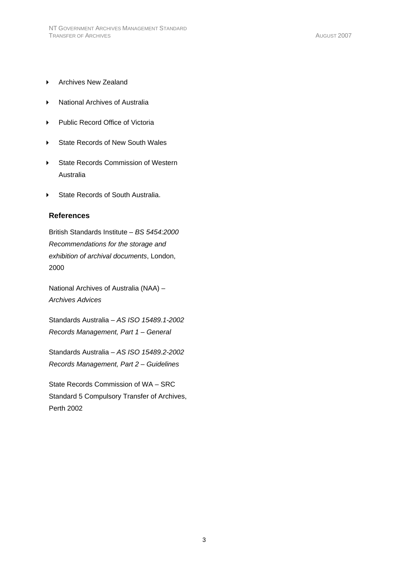- ▶ Archives New Zealand
- National Archives of Australia
- Public Record Office of Victoria
- ▶ State Records of New South Wales
- ▶ State Records Commission of Western Australia
- State Records of South Australia.

#### **References**

British Standards Institute – *BS 5454:2000 Recommendations for the storage and exhibition of archival documents*, London, 2000

National Archives of Australia (NAA) – *Archives Advices*

Standards Australia – *AS ISO 15489.1-2002 Records Management, Part 1 – General* 

Standards Australia – *AS ISO 15489.2-2002 Records Management, Part 2 – Guidelines* 

State Records Commission of WA – SRC Standard 5 Compulsory Transfer of Archives, Perth 2002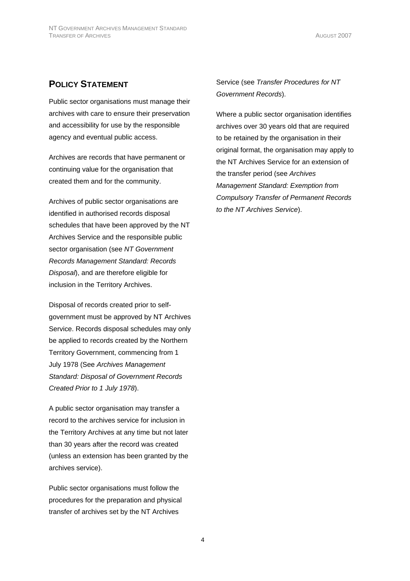## **POLICY STATEMENT**

Public sector organisations must manage their archives with care to ensure their preservation and accessibility for use by the responsible agency and eventual public access.

Archives are records that have permanent or continuing value for the organisation that created them and for the community.

Archives of public sector organisations are identified in authorised records disposal schedules that have been approved by the NT Archives Service and the responsible public sector organisation (see *NT Government Records Management Standard: Records Disposal*), and are therefore eligible for inclusion in the Territory Archives.

Disposal of records created prior to selfgovernment must be approved by NT Archives Service. Records disposal schedules may only be applied to records created by the Northern Territory Government, commencing from 1 July 1978 (See *Archives Management Standard: Disposal of Government Records Created Prior to 1 July 1978*).

A public sector organisation may transfer a record to the archives service for inclusion in the Territory Archives at any time but not later than 30 years after the record was created (unless an extension has been granted by the archives service).

Public sector organisations must follow the procedures for the preparation and physical transfer of archives set by the NT Archives

Service (see *Transfer Procedures for NT Government Records*).

Where a public sector organisation identifies archives over 30 years old that are required to be retained by the organisation in their original format, the organisation may apply to the NT Archives Service for an extension of the transfer period (see *Archives Management Standard: Exemption from Compulsory Transfer of Permanent Records to the NT Archives Service*).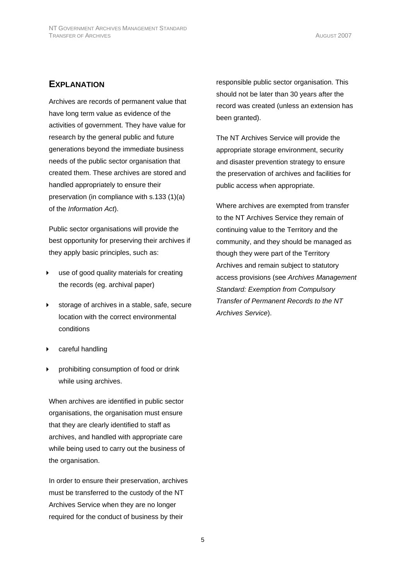## **EXPLANATION**

Archives are records of permanent value that have long term value as evidence of the activities of government. They have value for research by the general public and future generations beyond the immediate business needs of the public sector organisation that created them. These archives are stored and handled appropriately to ensure their preservation (in compliance with s.133 (1)(a) of the *Information Act*).

Public sector organisations will provide the best opportunity for preserving their archives if they apply basic principles, such as:

- use of good quality materials for creating the records (eg. archival paper)
- storage of archives in a stable, safe, secure location with the correct environmental conditions
- careful handling
- prohibiting consumption of food or drink while using archives.

When archives are identified in public sector organisations, the organisation must ensure that they are clearly identified to staff as archives, and handled with appropriate care while being used to carry out the business of the organisation.

In order to ensure their preservation, archives must be transferred to the custody of the NT Archives Service when they are no longer required for the conduct of business by their

responsible public sector organisation. This should not be later than 30 years after the record was created (unless an extension has been granted).

The NT Archives Service will provide the appropriate storage environment, security and disaster prevention strategy to ensure the preservation of archives and facilities for public access when appropriate.

Where archives are exempted from transfer to the NT Archives Service they remain of continuing value to the Territory and the community, and they should be managed as though they were part of the Territory Archives and remain subject to statutory access provisions (see *Archives Management Standard: Exemption from Compulsory Transfer of Permanent Records to the NT Archives Service*).